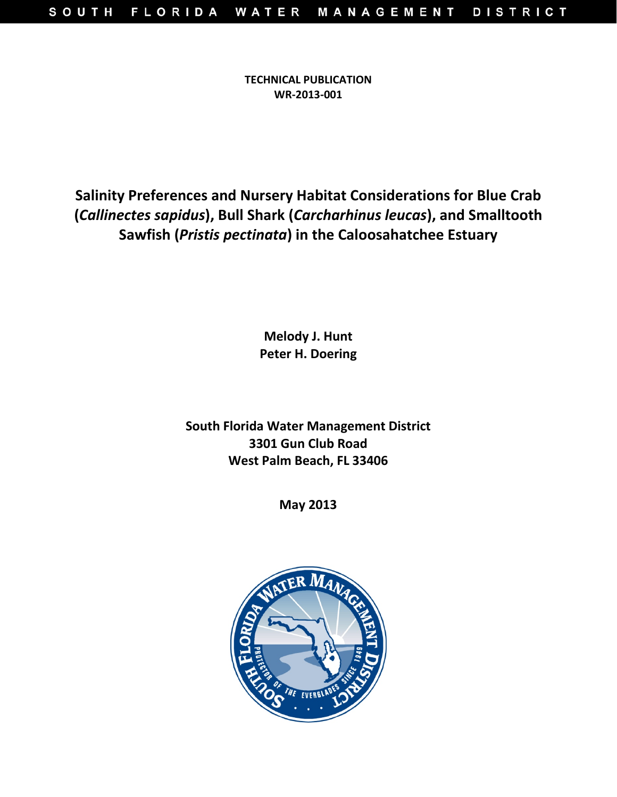**TECHNICAL PUBLICATION WR-2013-001**

**Salinity Preferences and Nursery Habitat Considerations for Blue Crab (***Callinectes sapidus***), Bull Shark (***Carcharhinus leucas***), and Smalltooth Sawfish (***Pristis pectinata***) in the Caloosahatchee Estuary**

> **Melody J. Hunt Peter H. Doering**

**South Florida Water Management District 3301 Gun Club Road West Palm Beach, FL 33406**

**May 2013**

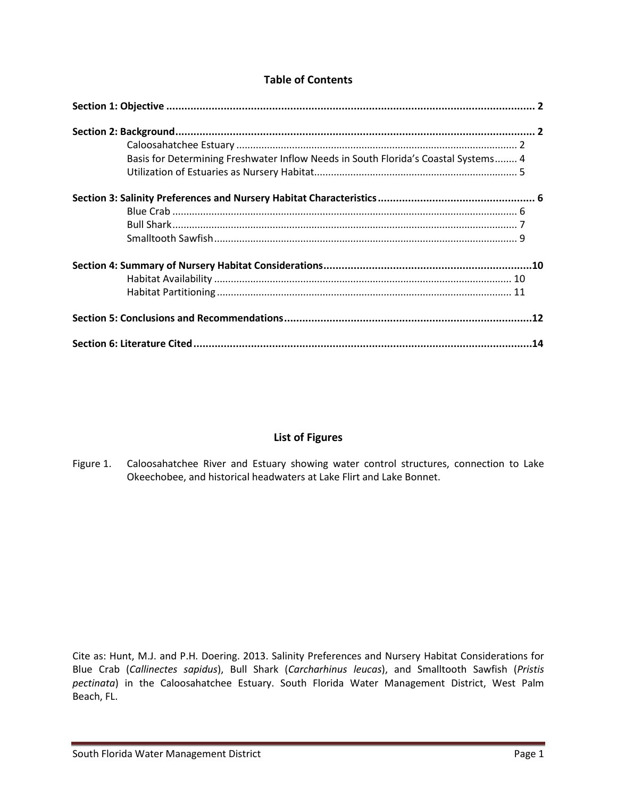### **Table of Contents**

| Basis for Determining Freshwater Inflow Needs in South Florida's Coastal Systems 4 |  |
|------------------------------------------------------------------------------------|--|
|                                                                                    |  |
|                                                                                    |  |
|                                                                                    |  |
|                                                                                    |  |
|                                                                                    |  |
|                                                                                    |  |
|                                                                                    |  |
|                                                                                    |  |
|                                                                                    |  |
|                                                                                    |  |

## **List of Figures**

Figure 1. Caloosahatchee River and Estuary showing water control structures, connection to Lake Okeechobee, and historical headwaters at Lake Flirt and Lake Bonnet.

Cite as: Hunt, M.J. and P.H. Doering. 2013. Salinity Preferences and Nursery Habitat Considerations for Blue Crab (*Callinectes sapidus*), Bull Shark (*Carcharhinus leucas*), and Smalltooth Sawfish (*Pristis pectinata*) in the Caloosahatchee Estuary. South Florida Water Management District, West Palm Beach, FL.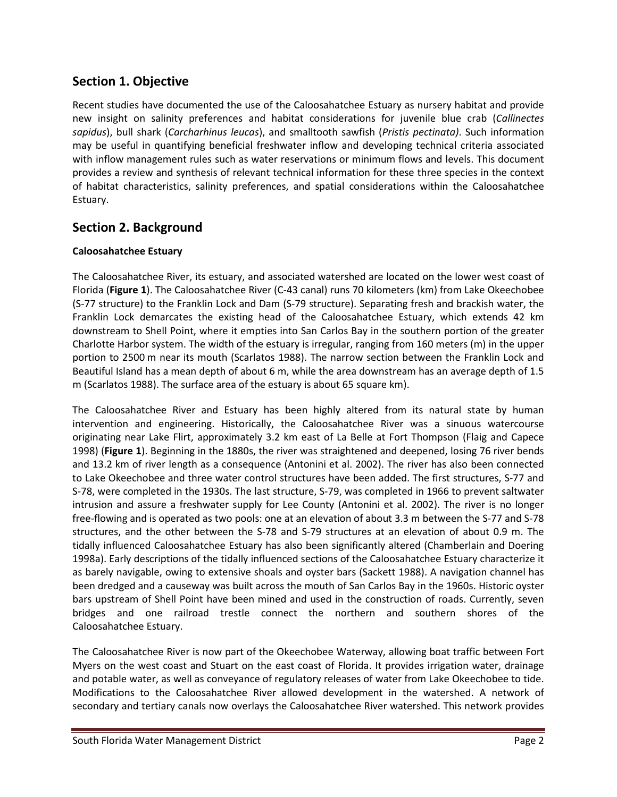## **Section 1. Objective**

Recent studies have documented the use of the Caloosahatchee Estuary as nursery habitat and provide new insight on salinity preferences and habitat considerations for juvenile blue crab (*Callinectes sapidus*), bull shark (*Carcharhinus leucas*), and smalltooth sawfish (*Pristis pectinata)*. Such information may be useful in quantifying beneficial freshwater inflow and developing technical criteria associated with inflow management rules such as water reservations or minimum flows and levels. This document provides a review and synthesis of relevant technical information for these three species in the context of habitat characteristics, salinity preferences, and spatial considerations within the Caloosahatchee Estuary.

## **Section 2. Background**

### **Caloosahatchee Estuary**

The Caloosahatchee River, its estuary, and associated watershed are located on the lower west coast of Florida (**Figure 1**). The Caloosahatchee River (C-43 canal) runs 70 kilometers (km) from Lake Okeechobee (S-77 structure) to the Franklin Lock and Dam (S-79 structure). Separating fresh and brackish water, the Franklin Lock demarcates the existing head of the Caloosahatchee Estuary, which extends 42 km downstream to Shell Point, where it empties into San Carlos Bay in the southern portion of the greater Charlotte Harbor system. The width of the estuary is irregular, ranging from 160 meters (m) in the upper portion to 2500 m near its mouth (Scarlatos 1988). The narrow section between the Franklin Lock and Beautiful Island has a mean depth of about 6 m, while the area downstream has an average depth of 1.5 m (Scarlatos 1988). The surface area of the estuary is about 65 square km).

The Caloosahatchee River and Estuary has been highly altered from its natural state by human intervention and engineering. Historically, the Caloosahatchee River was a sinuous watercourse originating near Lake Flirt, approximately 3.2 km east of La Belle at Fort Thompson (Flaig and Capece 1998) (**Figure 1**). Beginning in the 1880s, the river was straightened and deepened, losing 76 river bends and 13.2 km of river length as a consequence (Antonini et al. 2002). The river has also been connected to Lake Okeechobee and three water control structures have been added. The first structures, S-77 and S-78, were completed in the 1930s. The last structure, S-79, was completed in 1966 to prevent saltwater intrusion and assure a freshwater supply for Lee County (Antonini et al. 2002). The river is no longer free-flowing and is operated as two pools: one at an elevation of about 3.3 m between the S-77 and S-78 structures, and the other between the S-78 and S-79 structures at an elevation of about 0.9 m. The tidally influenced Caloosahatchee Estuary has also been significantly altered (Chamberlain and Doering 1998a). Early descriptions of the tidally influenced sections of the Caloosahatchee Estuary characterize it as barely navigable, owing to extensive shoals and oyster bars (Sackett 1988). A navigation channel has been dredged and a causeway was built across the mouth of San Carlos Bay in the 1960s. Historic oyster bars upstream of Shell Point have been mined and used in the construction of roads. Currently, seven bridges and one railroad trestle connect the northern and southern shores of the Caloosahatchee Estuary.

The Caloosahatchee River is now part of the Okeechobee Waterway, allowing boat traffic between Fort Myers on the west coast and Stuart on the east coast of Florida. It provides irrigation water, drainage and potable water, as well as conveyance of regulatory releases of water from Lake Okeechobee to tide. Modifications to the Caloosahatchee River allowed development in the watershed. A network of secondary and tertiary canals now overlays the Caloosahatchee River watershed. This network provides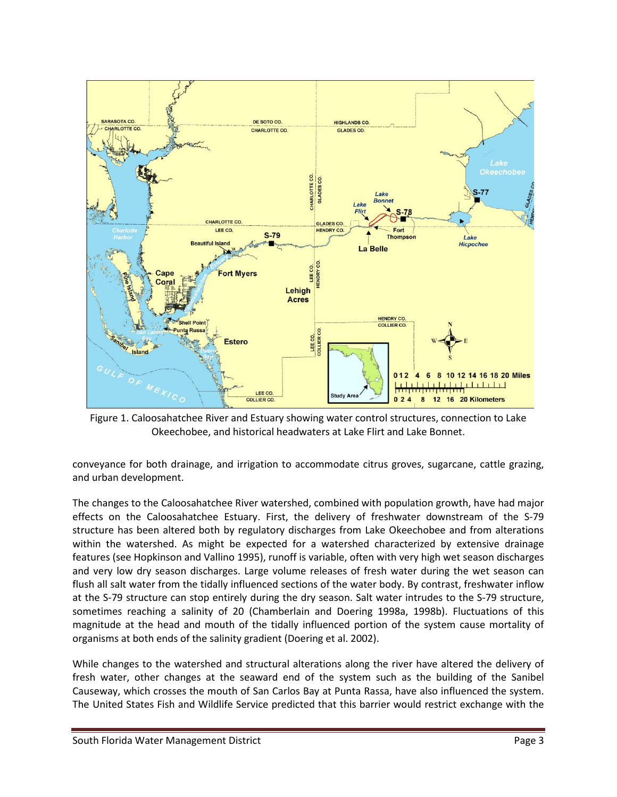

Figure 1. Caloosahatchee River and Estuary showing water control structures, connection to Lake Okeechobee, and historical headwaters at Lake Flirt and Lake Bonnet.

conveyance for both drainage, and irrigation to accommodate citrus groves, sugarcane, cattle grazing, and urban development.

The changes to the Caloosahatchee River watershed, combined with population growth, have had major effects on the Caloosahatchee Estuary. First, the delivery of freshwater downstream of the S-79 structure has been altered both by regulatory discharges from Lake Okeechobee and from alterations within the watershed. As might be expected for a watershed characterized by extensive drainage features (see Hopkinson and Vallino 1995), runoff is variable, often with very high wet season discharges and very low dry season discharges. Large volume releases of fresh water during the wet season can flush all salt water from the tidally influenced sections of the water body. By contrast, freshwater inflow at the S-79 structure can stop entirely during the dry season. Salt water intrudes to the S-79 structure, sometimes reaching a salinity of 20 (Chamberlain and Doering 1998a, 1998b). Fluctuations of this magnitude at the head and mouth of the tidally influenced portion of the system cause mortality of organisms at both ends of the salinity gradient (Doering et al. 2002).

While changes to the watershed and structural alterations along the river have altered the delivery of fresh water, other changes at the seaward end of the system such as the building of the Sanibel Causeway, which crosses the mouth of San Carlos Bay at Punta Rassa, have also influenced the system. The United States Fish and Wildlife Service predicted that this barrier would restrict exchange with the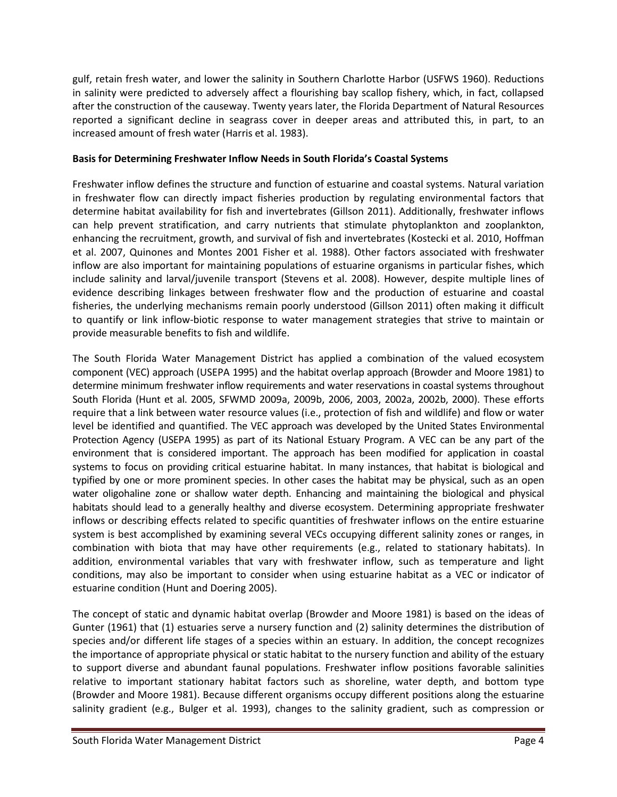gulf, retain fresh water, and lower the salinity in Southern Charlotte Harbor (USFWS 1960). Reductions in salinity were predicted to adversely affect a flourishing bay scallop fishery, which, in fact, collapsed after the construction of the causeway. Twenty years later, the Florida Department of Natural Resources reported a significant decline in seagrass cover in deeper areas and attributed this, in part, to an increased amount of fresh water (Harris et al. 1983).

### **Basis for Determining Freshwater Inflow Needs in South Florida's Coastal Systems**

Freshwater inflow defines the structure and function of estuarine and coastal systems. Natural variation in freshwater flow can directly impact fisheries production by regulating environmental factors that determine habitat availability for fish and invertebrates (Gillson 2011). Additionally, freshwater inflows can help prevent stratification, and carry nutrients that stimulate phytoplankton and zooplankton, enhancing the recruitment, growth, and survival of fish and invertebrates (Kostecki et al. 2010, Hoffman et al. 2007, Quinones and Montes 2001 Fisher et al. 1988). Other factors associated with freshwater inflow are also important for maintaining populations of estuarine organisms in particular fishes, which include salinity and larval/juvenile transport (Stevens et al. 2008). However, despite multiple lines of evidence describing linkages between freshwater flow and the production of estuarine and coastal fisheries, the underlying mechanisms remain poorly understood (Gillson 2011) often making it difficult to quantify or link inflow-biotic response to water management strategies that strive to maintain or provide measurable benefits to fish and wildlife.

The South Florida Water Management District has applied a combination of the valued ecosystem component (VEC) approach (USEPA 1995) and the habitat overlap approach (Browder and Moore 1981) to determine minimum freshwater inflow requirements and water reservations in coastal systems throughout South Florida (Hunt et al. 2005, SFWMD 2009a, 2009b, 2006, 2003, 2002a, 2002b, 2000). These efforts require that a link between water resource values (i.e., protection of fish and wildlife) and flow or water level be identified and quantified. The VEC approach was developed by the United States Environmental Protection Agency (USEPA 1995) as part of its National Estuary Program. A VEC can be any part of the environment that is considered important. The approach has been modified for application in coastal systems to focus on providing critical estuarine habitat. In many instances, that habitat is biological and typified by one or more prominent species. In other cases the habitat may be physical, such as an open water oligohaline zone or shallow water depth. Enhancing and maintaining the biological and physical habitats should lead to a generally healthy and diverse ecosystem. Determining appropriate freshwater inflows or describing effects related to specific quantities of freshwater inflows on the entire estuarine system is best accomplished by examining several VECs occupying different salinity zones or ranges, in combination with biota that may have other requirements (e.g., related to stationary habitats). In addition, environmental variables that vary with freshwater inflow, such as temperature and light conditions, may also be important to consider when using estuarine habitat as a VEC or indicator of estuarine condition (Hunt and Doering 2005).

The concept of static and dynamic habitat overlap (Browder and Moore 1981) is based on the ideas of Gunter (1961) that (1) estuaries serve a nursery function and (2) salinity determines the distribution of species and/or different life stages of a species within an estuary. In addition, the concept recognizes the importance of appropriate physical or static habitat to the nursery function and ability of the estuary to support diverse and abundant faunal populations. Freshwater inflow positions favorable salinities relative to important stationary habitat factors such as shoreline, water depth, and bottom type (Browder and Moore 1981). Because different organisms occupy different positions along the estuarine salinity gradient (e.g., Bulger et al. 1993), changes to the salinity gradient, such as compression or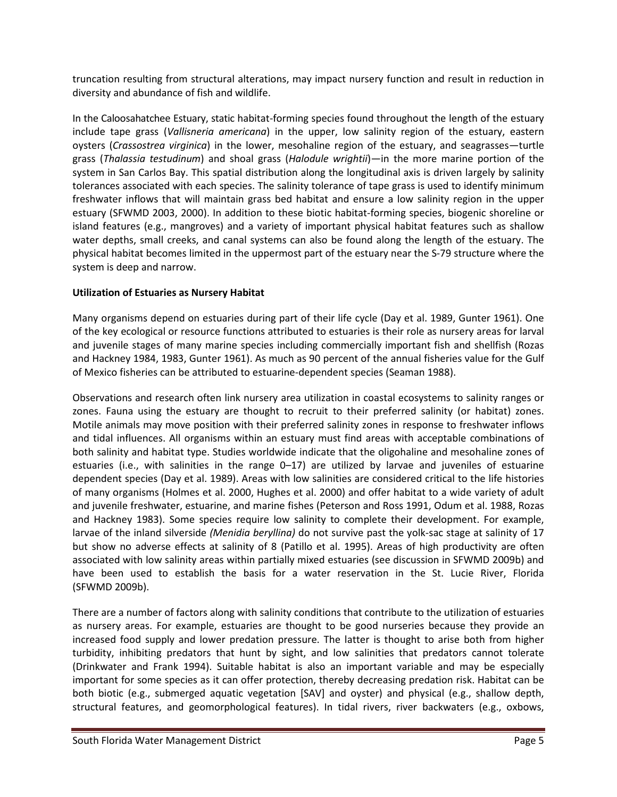truncation resulting from structural alterations, may impact nursery function and result in reduction in diversity and abundance of fish and wildlife.

In the Caloosahatchee Estuary, static habitat-forming species found throughout the length of the estuary include tape grass (*Vallisneria americana*) in the upper, low salinity region of the estuary, eastern oysters (*Crassostrea virginica*) in the lower, mesohaline region of the estuary, and seagrasses—turtle grass (*Thalassia testudinum*) and shoal grass (*Halodule wrightii*)—in the more marine portion of the system in San Carlos Bay. This spatial distribution along the longitudinal axis is driven largely by salinity tolerances associated with each species. The salinity tolerance of tape grass is used to identify minimum freshwater inflows that will maintain grass bed habitat and ensure a low salinity region in the upper estuary (SFWMD 2003, 2000). In addition to these biotic habitat-forming species, biogenic shoreline or island features (e.g., mangroves) and a variety of important physical habitat features such as shallow water depths, small creeks, and canal systems can also be found along the length of the estuary. The physical habitat becomes limited in the uppermost part of the estuary near the S-79 structure where the system is deep and narrow.

#### **Utilization of Estuaries as Nursery Habitat**

Many organisms depend on estuaries during part of their life cycle (Day et al. 1989, Gunter 1961). One of the key ecological or resource functions attributed to estuaries is their role as nursery areas for larval and juvenile stages of many marine species including commercially important fish and shellfish (Rozas and Hackney 1984, 1983, Gunter 1961). As much as 90 percent of the annual fisheries value for the Gulf of Mexico fisheries can be attributed to estuarine-dependent species (Seaman 1988).

Observations and research often link nursery area utilization in coastal ecosystems to salinity ranges or zones. Fauna using the estuary are thought to recruit to their preferred salinity (or habitat) zones. Motile animals may move position with their preferred salinity zones in response to freshwater inflows and tidal influences. All organisms within an estuary must find areas with acceptable combinations of both salinity and habitat type. Studies worldwide indicate that the oligohaline and mesohaline zones of estuaries (i.e., with salinities in the range 0–17) are utilized by larvae and juveniles of estuarine dependent species (Day et al. 1989). Areas with low salinities are considered critical to the life histories of many organisms (Holmes et al. 2000, Hughes et al. 2000) and offer habitat to a wide variety of adult and juvenile freshwater, estuarine, and marine fishes (Peterson and Ross 1991, Odum et al. 1988, Rozas and Hackney 1983). Some species require low salinity to complete their development. For example, larvae of the inland silverside *(Menidia beryllina)* do not survive past the yolk-sac stage at salinity of 17 but show no adverse effects at salinity of 8 (Patillo et al. 1995). Areas of high productivity are often associated with low salinity areas within partially mixed estuaries (see discussion in SFWMD 2009b) and have been used to establish the basis for a water reservation in the St. Lucie River, Florida (SFWMD 2009b).

There are a number of factors along with salinity conditions that contribute to the utilization of estuaries as nursery areas. For example, estuaries are thought to be good nurseries because they provide an increased food supply and lower predation pressure. The latter is thought to arise both from higher turbidity, inhibiting predators that hunt by sight, and low salinities that predators cannot tolerate (Drinkwater and Frank 1994). Suitable habitat is also an important variable and may be especially important for some species as it can offer protection, thereby decreasing predation risk. Habitat can be both biotic (e.g., submerged aquatic vegetation [SAV] and oyster) and physical (e.g., shallow depth, structural features, and geomorphological features). In tidal rivers, river backwaters (e.g., oxbows,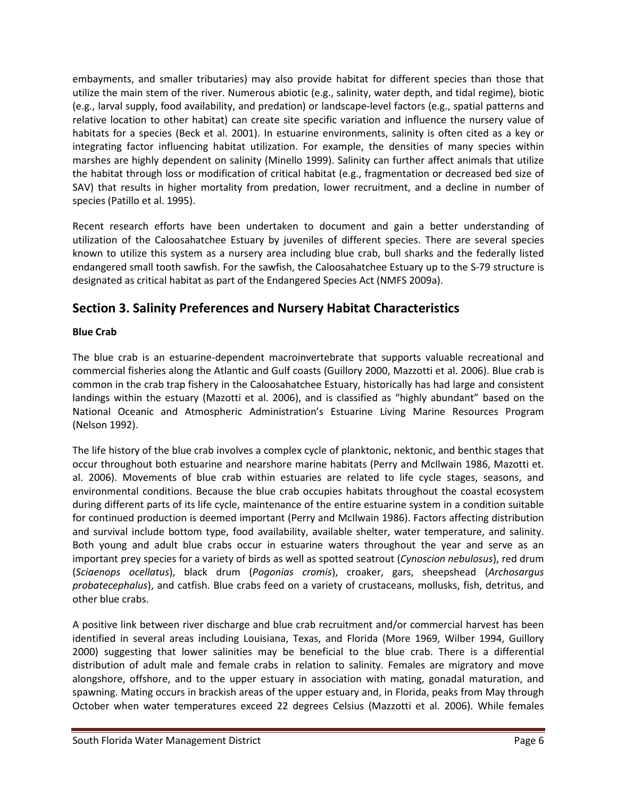embayments, and smaller tributaries) may also provide habitat for different species than those that utilize the main stem of the river. Numerous abiotic (e.g., salinity, water depth, and tidal regime), biotic (e.g., larval supply, food availability, and predation) or landscape-level factors (e.g., spatial patterns and relative location to other habitat) can create site specific variation and influence the nursery value of habitats for a species (Beck et al. 2001). In estuarine environments, salinity is often cited as a key or integrating factor influencing habitat utilization. For example, the densities of many species within marshes are highly dependent on salinity (Minello 1999). Salinity can further affect animals that utilize the habitat through loss or modification of critical habitat (e.g., fragmentation or decreased bed size of SAV) that results in higher mortality from predation, lower recruitment, and a decline in number of species (Patillo et al. 1995).

Recent research efforts have been undertaken to document and gain a better understanding of utilization of the Caloosahatchee Estuary by juveniles of different species. There are several species known to utilize this system as a nursery area including blue crab, bull sharks and the federally listed endangered small tooth sawfish. For the sawfish, the Caloosahatchee Estuary up to the S-79 structure is designated as critical habitat as part of the Endangered Species Act (NMFS 2009a).

# **Section 3. Salinity Preferences and Nursery Habitat Characteristics**

## **Blue Crab**

The blue crab is an estuarine-dependent macroinvertebrate that supports valuable recreational and commercial fisheries along the Atlantic and Gulf coasts (Guillory 2000, Mazzotti et al. 2006). Blue crab is common in the crab trap fishery in the Caloosahatchee Estuary, historically has had large and consistent landings within the estuary (Mazotti et al. 2006), and is classified as "highly abundant" based on the National Oceanic and Atmospheric Administration's Estuarine Living Marine Resources Program (Nelson 1992).

The life history of the blue crab involves a complex cycle of planktonic, nektonic, and benthic stages that occur throughout both estuarine and nearshore marine habitats (Perry and McIlwain 1986, Mazotti et. al. 2006). Movements of blue crab within estuaries are related to life cycle stages, seasons, and environmental conditions. Because the blue crab occupies habitats throughout the coastal ecosystem during different parts of its life cycle, maintenance of the entire estuarine system in a condition suitable for continued production is deemed important (Perry and McIlwain 1986). Factors affecting distribution and survival include bottom type, food availability, available shelter, water temperature, and salinity. Both young and adult blue crabs occur in estuarine waters throughout the year and serve as an important prey species for a variety of birds as well as spotted seatrout (*Cynoscion nebulosus*), red drum (*Sciaenops ocellatus*), black drum (*Pogonias cromis*), croaker, gars, sheepshead (*Archosargus probatecephalus*), and catfish. Blue crabs feed on a variety of crustaceans, mollusks, fish, detritus, and other blue crabs.

A positive link between river discharge and blue crab recruitment and/or commercial harvest has been identified in several areas including Louisiana, Texas, and Florida (More 1969, Wilber 1994, Guillory 2000) suggesting that lower salinities may be beneficial to the blue crab. There is a differential distribution of adult male and female crabs in relation to salinity. Females are migratory and move alongshore, offshore, and to the upper estuary in association with mating, gonadal maturation, and spawning. Mating occurs in brackish areas of the upper estuary and, in Florida, peaks from May through October when water temperatures exceed 22 degrees Celsius (Mazzotti et al. 2006). While females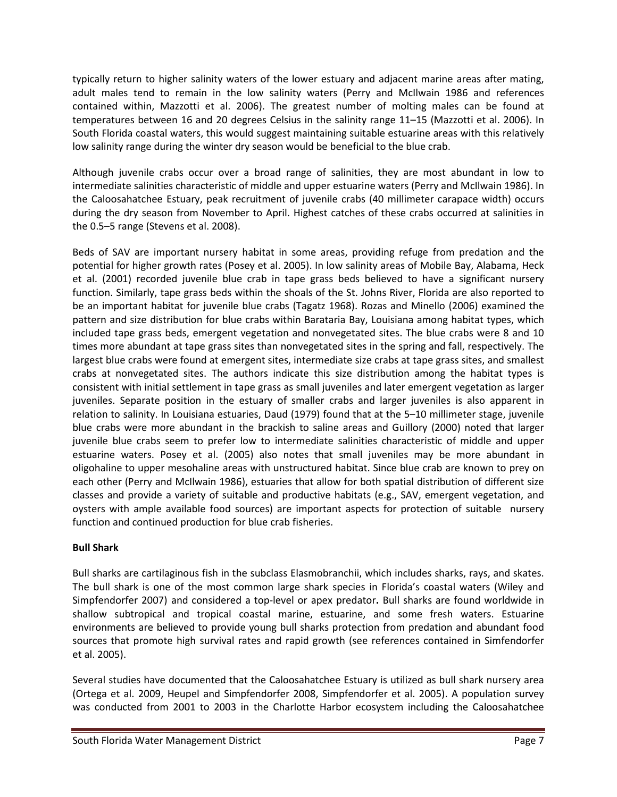typically return to higher salinity waters of the lower estuary and adjacent marine areas after mating, adult males tend to remain in the low salinity waters (Perry and McIlwain 1986 and references contained within, Mazzotti et al. 2006). The greatest number of molting males can be found at temperatures between 16 and 20 degrees Celsius in the salinity range 11–15 (Mazzotti et al. 2006). In South Florida coastal waters, this would suggest maintaining suitable estuarine areas with this relatively low salinity range during the winter dry season would be beneficial to the blue crab.

Although juvenile crabs occur over a broad range of salinities, they are most abundant in low to intermediate salinities characteristic of middle and upper estuarine waters (Perry and McIlwain 1986). In the Caloosahatchee Estuary, peak recruitment of juvenile crabs (40 millimeter carapace width) occurs during the dry season from November to April. Highest catches of these crabs occurred at salinities in the 0.5–5 range (Stevens et al. 2008).

Beds of SAV are important nursery habitat in some areas, providing refuge from predation and the potential for higher growth rates (Posey et al. 2005). In low salinity areas of Mobile Bay, Alabama, Heck et al. (2001) recorded juvenile blue crab in tape grass beds believed to have a significant nursery function. Similarly, tape grass beds within the shoals of the St. Johns River, Florida are also reported to be an important habitat for juvenile blue crabs (Tagatz 1968). Rozas and Minello (2006) examined the pattern and size distribution for blue crabs within Barataria Bay, Louisiana among habitat types, which included tape grass beds, emergent vegetation and nonvegetated sites. The blue crabs were 8 and 10 times more abundant at tape grass sites than nonvegetated sites in the spring and fall, respectively. The largest blue crabs were found at emergent sites, intermediate size crabs at tape grass sites, and smallest crabs at nonvegetated sites. The authors indicate this size distribution among the habitat types is consistent with initial settlement in tape grass as small juveniles and later emergent vegetation as larger juveniles. Separate position in the estuary of smaller crabs and larger juveniles is also apparent in relation to salinity. In Louisiana estuaries, Daud (1979) found that at the 5–10 millimeter stage, juvenile blue crabs were more abundant in the brackish to saline areas and Guillory (2000) noted that larger juvenile blue crabs seem to prefer low to intermediate salinities characteristic of middle and upper estuarine waters. Posey et al. (2005) also notes that small juveniles may be more abundant in oligohaline to upper mesohaline areas with unstructured habitat. Since blue crab are known to prey on each other (Perry and McIlwain 1986), estuaries that allow for both spatial distribution of different size classes and provide a variety of suitable and productive habitats (e.g., SAV, emergent vegetation, and oysters with ample available food sources) are important aspects for protection of suitable nursery function and continued production for blue crab fisheries.

## **Bull Shark**

Bull sharks are cartilaginous fish in the subclass Elasmobranchii, which includes sharks, rays, and skates. The bull shark is one of the most common large shark species in Florida's coastal waters (Wiley and Simpfendorfer 2007) and considered a top-level or apex predator**.** Bull sharks are found worldwide in shallow subtropical and tropical coastal marine, estuarine, and some fresh waters. Estuarine environments are believed to provide young bull sharks protection from predation and abundant food sources that promote high survival rates and rapid growth (see references contained in Simfendorfer et al. 2005).

Several studies have documented that the Caloosahatchee Estuary is utilized as bull shark nursery area (Ortega et al. 2009, Heupel and Simpfendorfer 2008, Simpfendorfer et al. 2005). A population survey was conducted from 2001 to 2003 in the Charlotte Harbor ecosystem including the Caloosahatchee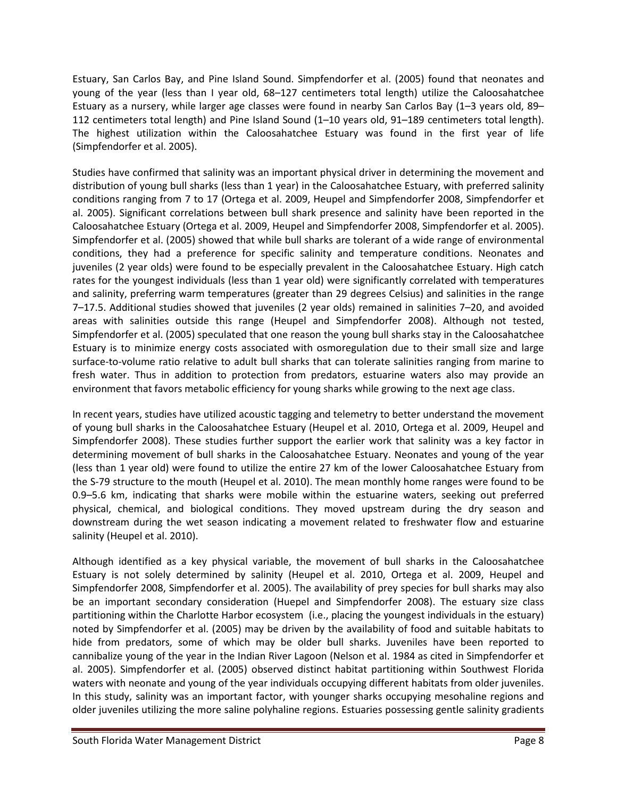Estuary, San Carlos Bay, and Pine Island Sound. Simpfendorfer et al. (2005) found that neonates and young of the year (less than I year old, 68–127 centimeters total length) utilize the Caloosahatchee Estuary as a nursery, while larger age classes were found in nearby San Carlos Bay (1–3 years old, 89– 112 centimeters total length) and Pine Island Sound (1–10 years old, 91–189 centimeters total length). The highest utilization within the Caloosahatchee Estuary was found in the first year of life (Simpfendorfer et al. 2005).

Studies have confirmed that salinity was an important physical driver in determining the movement and distribution of young bull sharks (less than 1 year) in the Caloosahatchee Estuary, with preferred salinity conditions ranging from 7 to 17 (Ortega et al. 2009, Heupel and Simpfendorfer 2008, Simpfendorfer et al. 2005). Significant correlations between bull shark presence and salinity have been reported in the Caloosahatchee Estuary (Ortega et al. 2009, Heupel and Simpfendorfer 2008, Simpfendorfer et al. 2005). Simpfendorfer et al. (2005) showed that while bull sharks are tolerant of a wide range of environmental conditions, they had a preference for specific salinity and temperature conditions. Neonates and juveniles (2 year olds) were found to be especially prevalent in the Caloosahatchee Estuary. High catch rates for the youngest individuals (less than 1 year old) were significantly correlated with temperatures and salinity, preferring warm temperatures (greater than 29 degrees Celsius) and salinities in the range 7–17.5. Additional studies showed that juveniles (2 year olds) remained in salinities 7–20, and avoided areas with salinities outside this range (Heupel and Simpfendorfer 2008). Although not tested, Simpfendorfer et al. (2005) speculated that one reason the young bull sharks stay in the Caloosahatchee Estuary is to minimize energy costs associated with osmoregulation due to their small size and large surface-to-volume ratio relative to adult bull sharks that can tolerate salinities ranging from marine to fresh water. Thus in addition to protection from predators, estuarine waters also may provide an environment that favors metabolic efficiency for young sharks while growing to the next age class.

In recent years, studies have utilized acoustic tagging and telemetry to better understand the movement of young bull sharks in the Caloosahatchee Estuary (Heupel et al. 2010, Ortega et al. 2009, Heupel and Simpfendorfer 2008). These studies further support the earlier work that salinity was a key factor in determining movement of bull sharks in the Caloosahatchee Estuary. Neonates and young of the year (less than 1 year old) were found to utilize the entire 27 km of the lower Caloosahatchee Estuary from the S-79 structure to the mouth (Heupel et al. 2010). The mean monthly home ranges were found to be 0.9–5.6 km, indicating that sharks were mobile within the estuarine waters, seeking out preferred physical, chemical, and biological conditions. They moved upstream during the dry season and downstream during the wet season indicating a movement related to freshwater flow and estuarine salinity (Heupel et al. 2010).

Although identified as a key physical variable, the movement of bull sharks in the Caloosahatchee Estuary is not solely determined by salinity (Heupel et al. 2010, Ortega et al. 2009, Heupel and Simpfendorfer 2008, Simpfendorfer et al. 2005). The availability of prey species for bull sharks may also be an important secondary consideration (Huepel and Simpfendorfer 2008). The estuary size class partitioning within the Charlotte Harbor ecosystem (i.e., placing the youngest individuals in the estuary) noted by Simpfendorfer et al. (2005) may be driven by the availability of food and suitable habitats to hide from predators, some of which may be older bull sharks. Juveniles have been reported to cannibalize young of the year in the Indian River Lagoon (Nelson et al. 1984 as cited in Simpfendorfer et al. 2005). Simpfendorfer et al. (2005) observed distinct habitat partitioning within Southwest Florida waters with neonate and young of the year individuals occupying different habitats from older juveniles. In this study, salinity was an important factor, with younger sharks occupying mesohaline regions and older juveniles utilizing the more saline polyhaline regions. Estuaries possessing gentle salinity gradients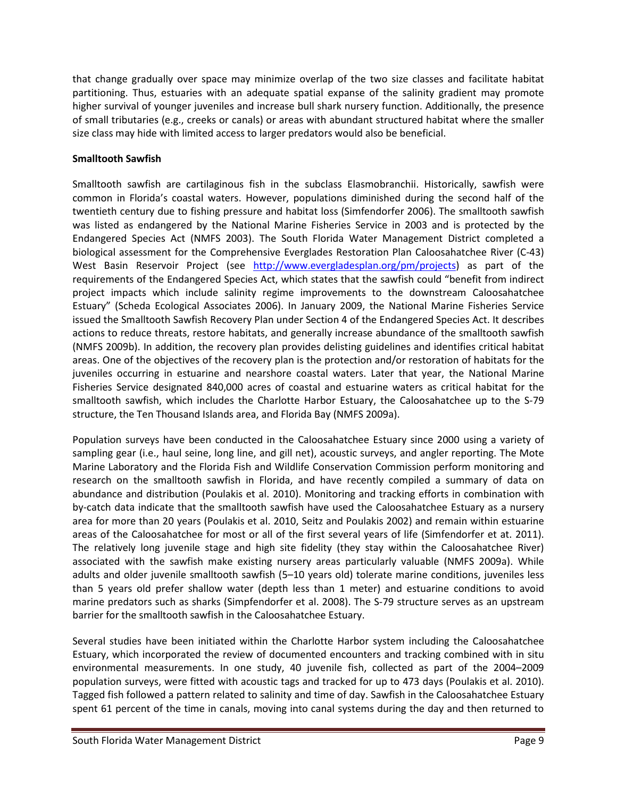that change gradually over space may minimize overlap of the two size classes and facilitate habitat partitioning. Thus, estuaries with an adequate spatial expanse of the salinity gradient may promote higher survival of younger juveniles and increase bull shark nursery function. Additionally, the presence of small tributaries (e.g., creeks or canals) or areas with abundant structured habitat where the smaller size class may hide with limited access to larger predators would also be beneficial.

### **Smalltooth Sawfish**

Smalltooth sawfish are cartilaginous fish in the subclass Elasmobranchii. Historically, sawfish were common in Florida's coastal waters. However, populations diminished during the second half of the twentieth century due to fishing pressure and habitat loss (Simfendorfer 2006). The smalltooth sawfish was listed as endangered by the National Marine Fisheries Service in 2003 and is protected by the Endangered Species Act (NMFS 2003). The South Florida Water Management District completed a biological assessment for the Comprehensive Everglades Restoration Plan Caloosahatchee River (C-43) West Basin Reservoir Project (see [http://www.evergladesplan.org/pm/projects\)](http://www.evergladesplan.org/pm/projects) as part of the requirements of the Endangered Species Act, which states that the sawfish could "benefit from indirect project impacts which include salinity regime improvements to the downstream Caloosahatchee Estuary" (Scheda Ecological Associates 2006). In January 2009, the National Marine Fisheries Service issued the Smalltooth Sawfish Recovery Plan under Section 4 of the Endangered Species Act. It describes actions to reduce threats, restore habitats, and generally increase abundance of the smalltooth sawfish (NMFS 2009b). In addition, the recovery plan provides delisting guidelines and identifies critical habitat areas. One of the objectives of the recovery plan is the protection and/or restoration of habitats for the juveniles occurring in estuarine and nearshore coastal waters. Later that year, the National Marine Fisheries Service designated 840,000 acres of coastal and estuarine waters as critical habitat for the smalltooth sawfish, which includes the Charlotte Harbor Estuary, the Caloosahatchee up to the S-79 structure, the Ten Thousand Islands area, and Florida Bay (NMFS 2009a).

Population surveys have been conducted in the Caloosahatchee Estuary since 2000 using a variety of sampling gear (i.e., haul seine, long line, and gill net), acoustic surveys, and angler reporting. The Mote Marine Laboratory and the Florida Fish and Wildlife Conservation Commission perform monitoring and research on the smalltooth sawfish in Florida, and have recently compiled a summary of data on abundance and distribution (Poulakis et al. 2010). Monitoring and tracking efforts in combination with by-catch data indicate that the smalltooth sawfish have used the Caloosahatchee Estuary as a nursery area for more than 20 years (Poulakis et al. 2010, Seitz and Poulakis 2002) and remain within estuarine areas of the Caloosahatchee for most or all of the first several years of life (Simfendorfer et at. 2011). The relatively long juvenile stage and high site fidelity (they stay within the Caloosahatchee River) associated with the sawfish make existing nursery areas particularly valuable (NMFS 2009a). While adults and older juvenile smalltooth sawfish (5–10 years old) tolerate marine conditions, juveniles less than 5 years old prefer shallow water (depth less than 1 meter) and estuarine conditions to avoid marine predators such as sharks (Simpfendorfer et al. 2008). The S-79 structure serves as an upstream barrier for the smalltooth sawfish in the Caloosahatchee Estuary.

Several studies have been initiated within the Charlotte Harbor system including the Caloosahatchee Estuary, which incorporated the review of documented encounters and tracking combined with in situ environmental measurements. In one study, 40 juvenile fish, collected as part of the 2004–2009 population surveys, were fitted with acoustic tags and tracked for up to 473 days (Poulakis et al. 2010). Tagged fish followed a pattern related to salinity and time of day. Sawfish in the Caloosahatchee Estuary spent 61 percent of the time in canals, moving into canal systems during the day and then returned to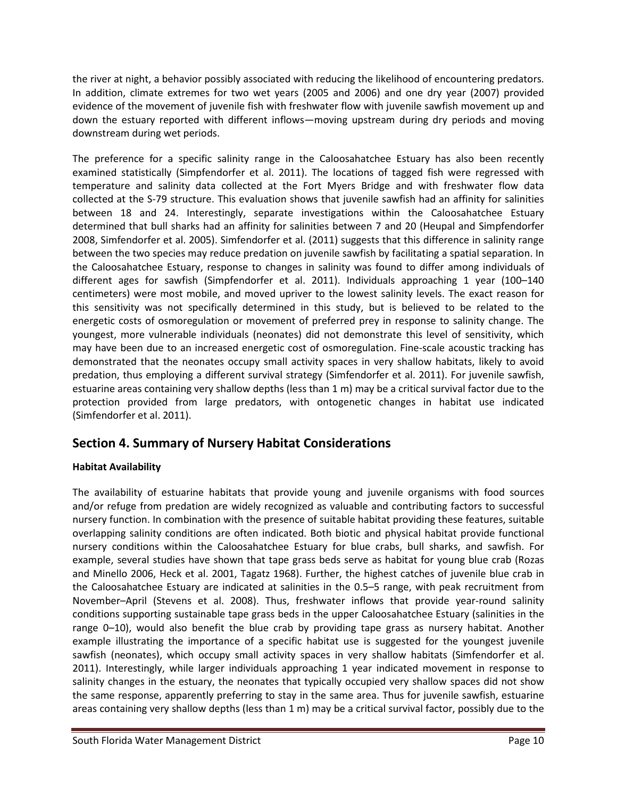the river at night, a behavior possibly associated with reducing the likelihood of encountering predators. In addition, climate extremes for two wet years (2005 and 2006) and one dry year (2007) provided evidence of the movement of juvenile fish with freshwater flow with juvenile sawfish movement up and down the estuary reported with different inflows—moving upstream during dry periods and moving downstream during wet periods.

The preference for a specific salinity range in the Caloosahatchee Estuary has also been recently examined statistically (Simpfendorfer et al. 2011). The locations of tagged fish were regressed with temperature and salinity data collected at the Fort Myers Bridge and with freshwater flow data collected at the S-79 structure. This evaluation shows that juvenile sawfish had an affinity for salinities between 18 and 24. Interestingly, separate investigations within the Caloosahatchee Estuary determined that bull sharks had an affinity for salinities between 7 and 20 (Heupal and Simpfendorfer 2008, Simfendorfer et al. 2005). Simfendorfer et al. (2011) suggests that this difference in salinity range between the two species may reduce predation on juvenile sawfish by facilitating a spatial separation. In the Caloosahatchee Estuary, response to changes in salinity was found to differ among individuals of different ages for sawfish (Simpfendorfer et al. 2011). Individuals approaching 1 year (100–140 centimeters) were most mobile, and moved upriver to the lowest salinity levels. The exact reason for this sensitivity was not specifically determined in this study, but is believed to be related to the energetic costs of osmoregulation or movement of preferred prey in response to salinity change. The youngest, more vulnerable individuals (neonates) did not demonstrate this level of sensitivity, which may have been due to an increased energetic cost of osmoregulation. Fine-scale acoustic tracking has demonstrated that the neonates occupy small activity spaces in very shallow habitats, likely to avoid predation, thus employing a different survival strategy (Simfendorfer et al. 2011). For juvenile sawfish, estuarine areas containing very shallow depths (less than 1 m) may be a critical survival factor due to the protection provided from large predators, with ontogenetic changes in habitat use indicated (Simfendorfer et al. 2011).

## **Section 4. Summary of Nursery Habitat Considerations**

## **Habitat Availability**

The availability of estuarine habitats that provide young and juvenile organisms with food sources and/or refuge from predation are widely recognized as valuable and contributing factors to successful nursery function. In combination with the presence of suitable habitat providing these features, suitable overlapping salinity conditions are often indicated. Both biotic and physical habitat provide functional nursery conditions within the Caloosahatchee Estuary for blue crabs, bull sharks, and sawfish. For example, several studies have shown that tape grass beds serve as habitat for young blue crab (Rozas and Minello 2006, Heck et al. 2001, Tagatz 1968). Further, the highest catches of juvenile blue crab in the Caloosahatchee Estuary are indicated at salinities in the 0.5–5 range, with peak recruitment from November–April (Stevens et al. 2008). Thus, freshwater inflows that provide year-round salinity conditions supporting sustainable tape grass beds in the upper Caloosahatchee Estuary (salinities in the range 0–10), would also benefit the blue crab by providing tape grass as nursery habitat. Another example illustrating the importance of a specific habitat use is suggested for the youngest juvenile sawfish (neonates), which occupy small activity spaces in very shallow habitats (Simfendorfer et al. 2011). Interestingly, while larger individuals approaching 1 year indicated movement in response to salinity changes in the estuary, the neonates that typically occupied very shallow spaces did not show the same response, apparently preferring to stay in the same area. Thus for juvenile sawfish, estuarine areas containing very shallow depths (less than 1 m) may be a critical survival factor, possibly due to the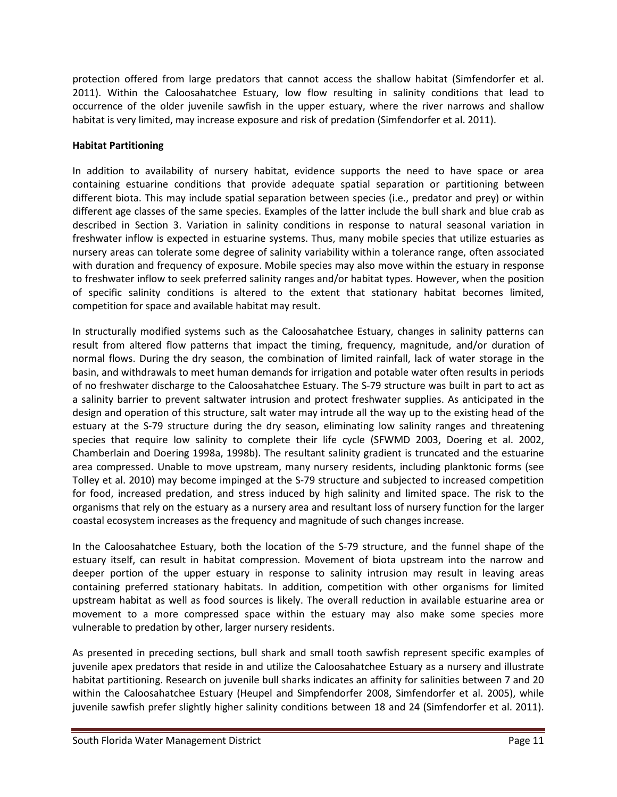protection offered from large predators that cannot access the shallow habitat (Simfendorfer et al. 2011). Within the Caloosahatchee Estuary, low flow resulting in salinity conditions that lead to occurrence of the older juvenile sawfish in the upper estuary, where the river narrows and shallow habitat is very limited, may increase exposure and risk of predation (Simfendorfer et al. 2011).

#### **Habitat Partitioning**

In addition to availability of nursery habitat, evidence supports the need to have space or area containing estuarine conditions that provide adequate spatial separation or partitioning between different biota. This may include spatial separation between species (i.e., predator and prey) or within different age classes of the same species. Examples of the latter include the bull shark and blue crab as described in Section 3. Variation in salinity conditions in response to natural seasonal variation in freshwater inflow is expected in estuarine systems. Thus, many mobile species that utilize estuaries as nursery areas can tolerate some degree of salinity variability within a tolerance range, often associated with duration and frequency of exposure. Mobile species may also move within the estuary in response to freshwater inflow to seek preferred salinity ranges and/or habitat types. However, when the position of specific salinity conditions is altered to the extent that stationary habitat becomes limited, competition for space and available habitat may result.

In structurally modified systems such as the Caloosahatchee Estuary, changes in salinity patterns can result from altered flow patterns that impact the timing, frequency, magnitude, and/or duration of normal flows. During the dry season, the combination of limited rainfall, lack of water storage in the basin, and withdrawals to meet human demands for irrigation and potable water often results in periods of no freshwater discharge to the Caloosahatchee Estuary. The S-79 structure was built in part to act as a salinity barrier to prevent saltwater intrusion and protect freshwater supplies. As anticipated in the design and operation of this structure, salt water may intrude all the way up to the existing head of the estuary at the S-79 structure during the dry season, eliminating low salinity ranges and threatening species that require low salinity to complete their life cycle (SFWMD 2003, Doering et al. 2002, Chamberlain and Doering 1998a, 1998b). The resultant salinity gradient is truncated and the estuarine area compressed. Unable to move upstream, many nursery residents, including planktonic forms (see Tolley et al. 2010) may become impinged at the S-79 structure and subjected to increased competition for food, increased predation, and stress induced by high salinity and limited space. The risk to the organisms that rely on the estuary as a nursery area and resultant loss of nursery function for the larger coastal ecosystem increases as the frequency and magnitude of such changes increase.

In the Caloosahatchee Estuary, both the location of the S-79 structure, and the funnel shape of the estuary itself, can result in habitat compression. Movement of biota upstream into the narrow and deeper portion of the upper estuary in response to salinity intrusion may result in leaving areas containing preferred stationary habitats. In addition, competition with other organisms for limited upstream habitat as well as food sources is likely. The overall reduction in available estuarine area or movement to a more compressed space within the estuary may also make some species more vulnerable to predation by other, larger nursery residents.

As presented in preceding sections, bull shark and small tooth sawfish represent specific examples of juvenile apex predators that reside in and utilize the Caloosahatchee Estuary as a nursery and illustrate habitat partitioning. Research on juvenile bull sharks indicates an affinity for salinities between 7 and 20 within the Caloosahatchee Estuary (Heupel and Simpfendorfer 2008, Simfendorfer et al. 2005), while juvenile sawfish prefer slightly higher salinity conditions between 18 and 24 (Simfendorfer et al. 2011).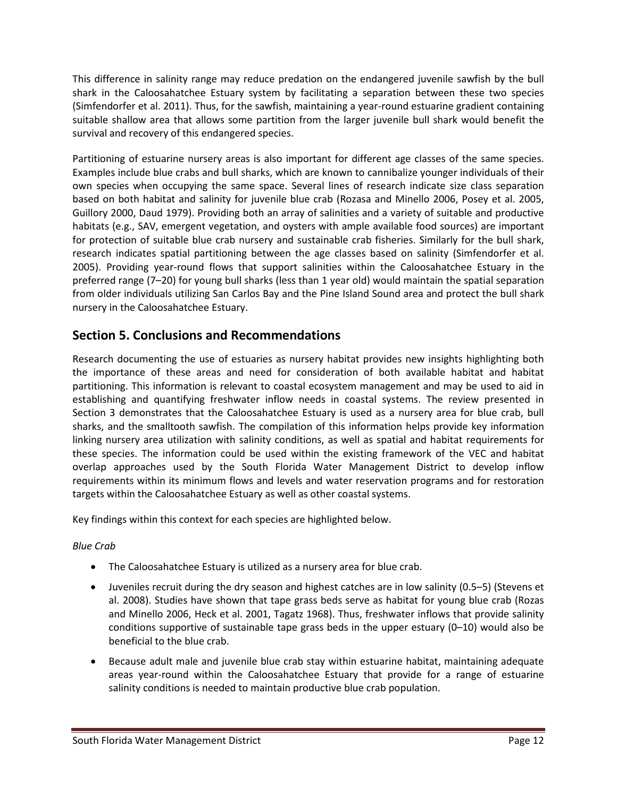This difference in salinity range may reduce predation on the endangered juvenile sawfish by the bull shark in the Caloosahatchee Estuary system by facilitating a separation between these two species (Simfendorfer et al. 2011). Thus, for the sawfish, maintaining a year-round estuarine gradient containing suitable shallow area that allows some partition from the larger juvenile bull shark would benefit the survival and recovery of this endangered species.

Partitioning of estuarine nursery areas is also important for different age classes of the same species. Examples include blue crabs and bull sharks, which are known to cannibalize younger individuals of their own species when occupying the same space. Several lines of research indicate size class separation based on both habitat and salinity for juvenile blue crab (Rozasa and Minello 2006, Posey et al. 2005, Guillory 2000, Daud 1979). Providing both an array of salinities and a variety of suitable and productive habitats (e.g., SAV, emergent vegetation, and oysters with ample available food sources) are important for protection of suitable blue crab nursery and sustainable crab fisheries. Similarly for the bull shark, research indicates spatial partitioning between the age classes based on salinity (Simfendorfer et al. 2005). Providing year-round flows that support salinities within the Caloosahatchee Estuary in the preferred range (7–20) for young bull sharks (less than 1 year old) would maintain the spatial separation from older individuals utilizing San Carlos Bay and the Pine Island Sound area and protect the bull shark nursery in the Caloosahatchee Estuary.

## **Section 5. Conclusions and Recommendations**

Research documenting the use of estuaries as nursery habitat provides new insights highlighting both the importance of these areas and need for consideration of both available habitat and habitat partitioning. This information is relevant to coastal ecosystem management and may be used to aid in establishing and quantifying freshwater inflow needs in coastal systems. The review presented in Section 3 demonstrates that the Caloosahatchee Estuary is used as a nursery area for blue crab, bull sharks, and the smalltooth sawfish. The compilation of this information helps provide key information linking nursery area utilization with salinity conditions, as well as spatial and habitat requirements for these species. The information could be used within the existing framework of the VEC and habitat overlap approaches used by the South Florida Water Management District to develop inflow requirements within its minimum flows and levels and water reservation programs and for restoration targets within the Caloosahatchee Estuary as well as other coastal systems.

Key findings within this context for each species are highlighted below.

*Blue Crab*

- The Caloosahatchee Estuary is utilized as a nursery area for blue crab.
- Juveniles recruit during the dry season and highest catches are in low salinity (0.5–5) (Stevens et al. 2008). Studies have shown that tape grass beds serve as habitat for young blue crab (Rozas and Minello 2006, Heck et al. 2001, Tagatz 1968). Thus, freshwater inflows that provide salinity conditions supportive of sustainable tape grass beds in the upper estuary  $(0-10)$  would also be beneficial to the blue crab.
- Because adult male and juvenile blue crab stay within estuarine habitat, maintaining adequate areas year-round within the Caloosahatchee Estuary that provide for a range of estuarine salinity conditions is needed to maintain productive blue crab population.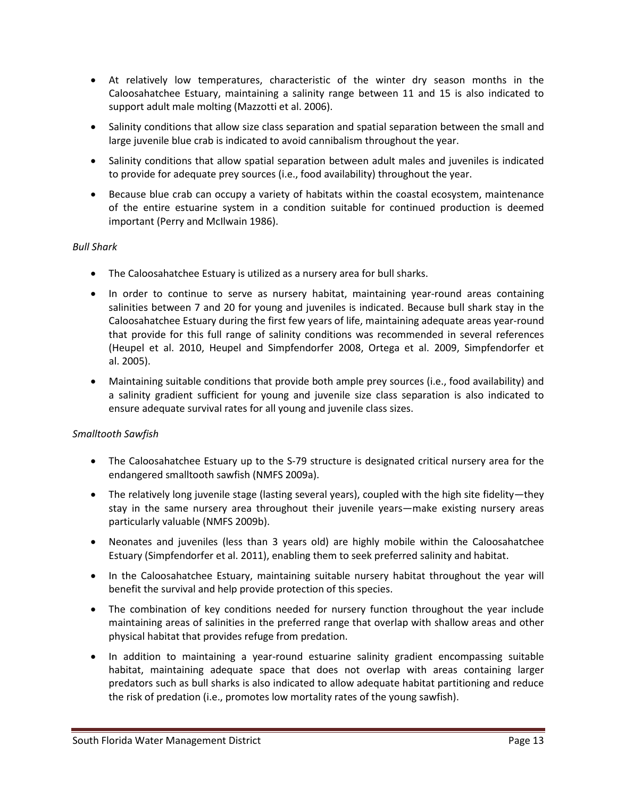- At relatively low temperatures, characteristic of the winter dry season months in the Caloosahatchee Estuary, maintaining a salinity range between 11 and 15 is also indicated to support adult male molting (Mazzotti et al. 2006).
- Salinity conditions that allow size class separation and spatial separation between the small and large juvenile blue crab is indicated to avoid cannibalism throughout the year.
- Salinity conditions that allow spatial separation between adult males and juveniles is indicated to provide for adequate prey sources (i.e., food availability) throughout the year.
- Because blue crab can occupy a variety of habitats within the coastal ecosystem, maintenance of the entire estuarine system in a condition suitable for continued production is deemed important (Perry and McIlwain 1986).

### *Bull Shark*

- The Caloosahatchee Estuary is utilized as a nursery area for bull sharks.
- In order to continue to serve as nursery habitat, maintaining year-round areas containing salinities between 7 and 20 for young and juveniles is indicated. Because bull shark stay in the Caloosahatchee Estuary during the first few years of life, maintaining adequate areas year-round that provide for this full range of salinity conditions was recommended in several references (Heupel et al. 2010, Heupel and Simpfendorfer 2008, Ortega et al. 2009, Simpfendorfer et al. 2005).
- Maintaining suitable conditions that provide both ample prey sources (i.e., food availability) and a salinity gradient sufficient for young and juvenile size class separation is also indicated to ensure adequate survival rates for all young and juvenile class sizes.

#### *Smalltooth Sawfish*

- The Caloosahatchee Estuary up to the S-79 structure is designated critical nursery area for the endangered smalltooth sawfish (NMFS 2009a).
- The relatively long juvenile stage (lasting several years), coupled with the high site fidelity—they stay in the same nursery area throughout their juvenile years—make existing nursery areas particularly valuable (NMFS 2009b).
- Neonates and juveniles (less than 3 years old) are highly mobile within the Caloosahatchee Estuary (Simpfendorfer et al. 2011), enabling them to seek preferred salinity and habitat.
- In the Caloosahatchee Estuary, maintaining suitable nursery habitat throughout the year will benefit the survival and help provide protection of this species.
- The combination of key conditions needed for nursery function throughout the year include maintaining areas of salinities in the preferred range that overlap with shallow areas and other physical habitat that provides refuge from predation.
- In addition to maintaining a year-round estuarine salinity gradient encompassing suitable habitat, maintaining adequate space that does not overlap with areas containing larger predators such as bull sharks is also indicated to allow adequate habitat partitioning and reduce the risk of predation (i.e., promotes low mortality rates of the young sawfish).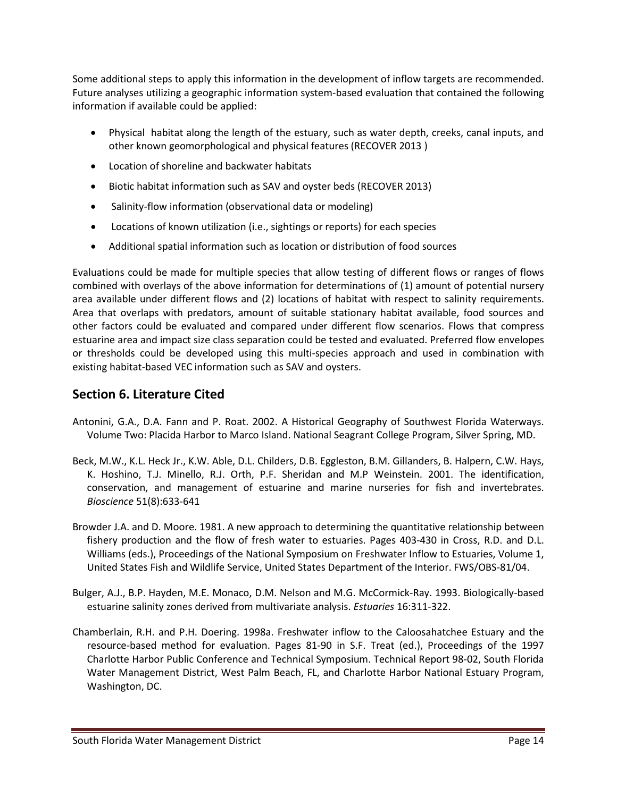Some additional steps to apply this information in the development of inflow targets are recommended. Future analyses utilizing a geographic information system-based evaluation that contained the following information if available could be applied:

- Physical habitat along the length of the estuary, such as water depth, creeks, canal inputs, and other known geomorphological and physical features (RECOVER 2013 )
- Location of shoreline and backwater habitats
- Biotic habitat information such as SAV and oyster beds (RECOVER 2013)
- Salinity-flow information (observational data or modeling)
- Locations of known utilization (i.e., sightings or reports) for each species
- Additional spatial information such as location or distribution of food sources

Evaluations could be made for multiple species that allow testing of different flows or ranges of flows combined with overlays of the above information for determinations of (1) amount of potential nursery area available under different flows and (2) locations of habitat with respect to salinity requirements. Area that overlaps with predators, amount of suitable stationary habitat available, food sources and other factors could be evaluated and compared under different flow scenarios. Flows that compress estuarine area and impact size class separation could be tested and evaluated. Preferred flow envelopes or thresholds could be developed using this multi-species approach and used in combination with existing habitat-based VEC information such as SAV and oysters.

# **Section 6. Literature Cited**

- Antonini, G.A., D.A. Fann and P. Roat. 2002. A Historical Geography of Southwest Florida Waterways. Volume Two: Placida Harbor to Marco Island. National Seagrant College Program, Silver Spring, MD.
- Beck, M.W., K.L. Heck Jr., K.W. Able, D.L. Childers, D.B. Eggleston, B.M. Gillanders, B. Halpern, C.W. Hays, K. Hoshino, T.J. Minello, R.J. Orth, P.F. Sheridan and M.P Weinstein. 2001. The identification, conservation, and management of estuarine and marine nurseries for fish and invertebrates. *Bioscience* 51(8):633-641
- Browder J.A. and D. Moore. 1981. A new approach to determining the quantitative relationship between fishery production and the flow of fresh water to estuaries. Pages 403-430 in Cross, R.D. and D.L. Williams (eds.), Proceedings of the National Symposium on Freshwater Inflow to Estuaries, Volume 1, United States Fish and Wildlife Service, United States Department of the Interior. FWS/OBS-81/04.
- Bulger, A.J., B.P. Hayden, M.E. Monaco, D.M. Nelson and M.G. McCormick-Ray. 1993. Biologically-based estuarine salinity zones derived from multivariate analysis. *Estuaries* 16:311-322.
- Chamberlain, R.H. and P.H. Doering. 1998a. Freshwater inflow to the Caloosahatchee Estuary and the resource-based method for evaluation. Pages 81-90 in S.F. Treat (ed.), Proceedings of the 1997 Charlotte Harbor Public Conference and Technical Symposium. Technical Report 98-02, South Florida Water Management District, West Palm Beach, FL, and Charlotte Harbor National Estuary Program, Washington, DC.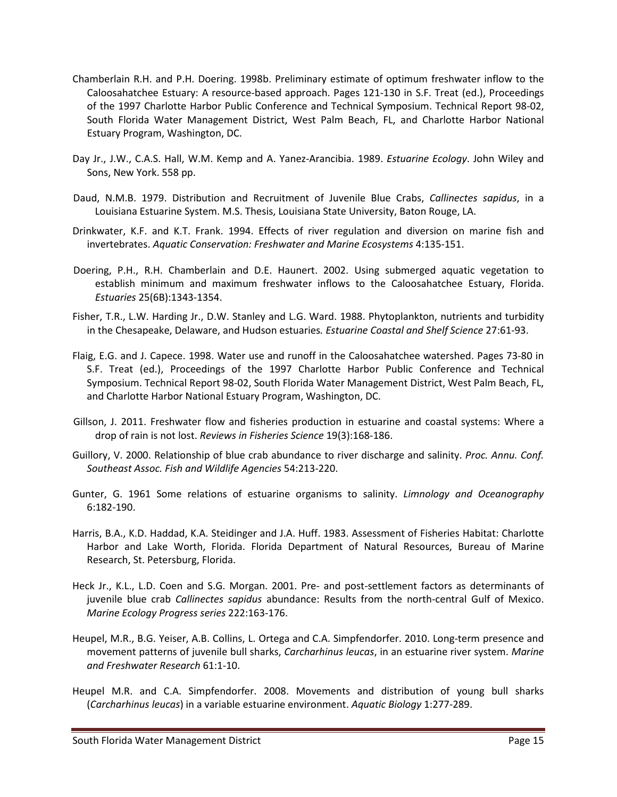- Chamberlain R.H. and P.H. Doering. 1998b. Preliminary estimate of optimum freshwater inflow to the Caloosahatchee Estuary: A resource-based approach. Pages 121-130 in S.F. Treat (ed.), Proceedings of the 1997 Charlotte Harbor Public Conference and Technical Symposium. Technical Report 98-02, South Florida Water Management District, West Palm Beach, FL, and Charlotte Harbor National Estuary Program, Washington, DC.
- Day Jr., J.W., C.A.S. Hall, W.M. Kemp and A. Yanez-Arancibia. 1989. *Estuarine Ecology*. John Wiley and Sons, New York. 558 pp.
- Daud, N.M.B. 1979. Distribution and Recruitment of Juvenile Blue Crabs, *Callinectes sapidus*, in a Louisiana Estuarine System. M.S. Thesis, Louisiana State University, Baton Rouge, LA.
- Drinkwater, K.F. and K.T. Frank. 1994. Effects of river regulation and diversion on marine fish and invertebrates. *Aquatic Conservation: Freshwater and Marine Ecosystems* 4:135-151.
- Doering, P.H., R.H. Chamberlain and D.E. Haunert. 2002. Using submerged aquatic vegetation to establish minimum and maximum freshwater inflows to the Caloosahatchee Estuary, Florida. *Estuaries* 25(6B):1343-1354.
- Fisher, T.R., L.W. Harding Jr., D.W. Stanley and L.G. Ward. 1988. Phytoplankton, nutrients and turbidity in the Chesapeake, Delaware, and Hudson estuaries*. Estuarine Coastal and Shelf Science* 27:61-93.
- Flaig, E.G. and J. Capece. 1998. Water use and runoff in the Caloosahatchee watershed. Pages 73-80 in S.F. Treat (ed.), Proceedings of the 1997 Charlotte Harbor Public Conference and Technical Symposium. Technical Report 98-02, South Florida Water Management District, West Palm Beach, FL, and Charlotte Harbor National Estuary Program, Washington, DC.
- Gillson, J. 2011. Freshwater flow and fisheries production in estuarine and coastal systems: Where a drop of rain is not lost. *Reviews in Fisheries Science* 19(3):168-186.
- Guillory, V. 2000. Relationship of blue crab abundance to river discharge and salinity. *Proc. Annu. Conf. Southeast Assoc. Fish and Wildlife Agencies* 54:213-220.
- Gunter, G. 1961 Some relations of estuarine organisms to salinity. *Limnology and Oceanography* 6:182-190.
- Harris, B.A., K.D. Haddad, K.A. Steidinger and J.A. Huff. 1983. Assessment of Fisheries Habitat: Charlotte Harbor and Lake Worth, Florida. Florida Department of Natural Resources, Bureau of Marine Research, St. Petersburg, Florida.
- Heck Jr., K.L., L.D. Coen and S.G. Morgan. 2001. Pre- and post-settlement factors as determinants of juvenile blue crab *Callinectes sapidus* abundance: Results from the north-central Gulf of Mexico. *Marine Ecology Progress series* 222:163-176.
- Heupel, M.R., B.G. Yeiser, A.B. Collins, L. Ortega and C.A. Simpfendorfer. 2010. Long-term presence and movement patterns of juvenile bull sharks, *Carcharhinus leucas*, in an estuarine river system. *Marine and Freshwater Research* 61:1-10.
- Heupel M.R. and C.A. Simpfendorfer. 2008. Movements and distribution of young bull sharks (*Carcharhinus leucas*) in a variable estuarine environment. *Aquatic Biology* 1:277-289.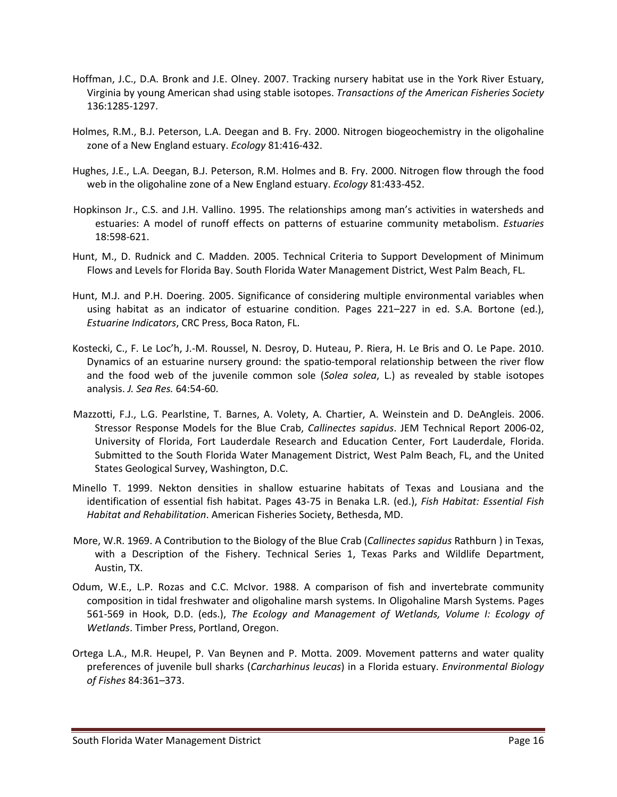- Hoffman, J.C., D.A. Bronk and J.E. Olney. 2007. Tracking nursery habitat use in the York River Estuary, Virginia by young American shad using stable isotopes. *Transactions of the American Fisheries Society* 136:1285-1297.
- Holmes, R.M., B.J. Peterson, L.A. Deegan and B. Fry. 2000. Nitrogen biogeochemistry in the oligohaline zone of a New England estuary. *Ecology* 81:416-432.
- Hughes, J.E., L.A. Deegan, B.J. Peterson, R.M. Holmes and B. Fry. 2000. Nitrogen flow through the food web in the oligohaline zone of a New England estuary. *Ecology* 81:433-452.
- Hopkinson Jr., C.S. and J.H. Vallino. 1995. The relationships among man's activities in watersheds and estuaries: A model of runoff effects on patterns of estuarine community metabolism. *Estuaries* 18:598-621.
- Hunt, M., D. Rudnick and C. Madden. 2005. Technical Criteria to Support Development of Minimum Flows and Levels for Florida Bay. South Florida Water Management District, West Palm Beach, FL.
- Hunt, M.J. and P.H. Doering. 2005. Significance of considering multiple environmental variables when using habitat as an indicator of estuarine condition. Pages 221–227 in ed. S.A. Bortone (ed.), *Estuarine Indicators*, CRC Press, Boca Raton, FL.
- Kostecki, C., F. Le Loc'h, J.-M. Roussel, N. Desroy, D. Huteau, P. Riera, H. Le Bris and O. Le Pape. 2010. Dynamics of an estuarine nursery ground: the spatio-temporal relationship between the river flow and the food web of the juvenile common sole (*Solea solea*, L.) as revealed by stable isotopes analysis. *J. Sea Res.* 64:54-60.
- Mazzotti, F.J., L.G. Pearlstine, T. Barnes, A. Volety, A. Chartier, A. Weinstein and D. DeAngleis. 2006. Stressor Response Models for the Blue Crab, *Callinectes sapidus*. JEM Technical Report 2006-02, University of Florida, Fort Lauderdale Research and Education Center, Fort Lauderdale, Florida. Submitted to the South Florida Water Management District, West Palm Beach, FL, and the United States Geological Survey, Washington, D.C.
- Minello T. 1999. Nekton densities in shallow estuarine habitats of Texas and Lousiana and the identification of essential fish habitat. Pages 43-75 in Benaka L.R. (ed.), *Fish Habitat: Essential Fish Habitat and Rehabilitation*. American Fisheries Society, Bethesda, MD.
- More, W.R. 1969. A Contribution to the Biology of the Blue Crab (*Callinectes sapidus* Rathburn ) in Texas, with a Description of the Fishery. Technical Series 1, Texas Parks and Wildlife Department, Austin, TX.
- Odum, W.E., L.P. Rozas and C.C. McIvor. 1988. A comparison of fish and invertebrate community composition in tidal freshwater and oligohaline marsh systems. In Oligohaline Marsh Systems. Pages 561-569 in Hook, D.D. (eds.), *The Ecology and Management of Wetlands, Volume I: Ecology of Wetlands*. Timber Press, Portland, Oregon.
- Ortega L.A., M.R. Heupel, P. Van Beynen and P. Motta. 2009. Movement patterns and water quality preferences of juvenile bull sharks (*Carcharhinus leucas*) in a Florida estuary. *Environmental Biology of Fishes* 84:361–373.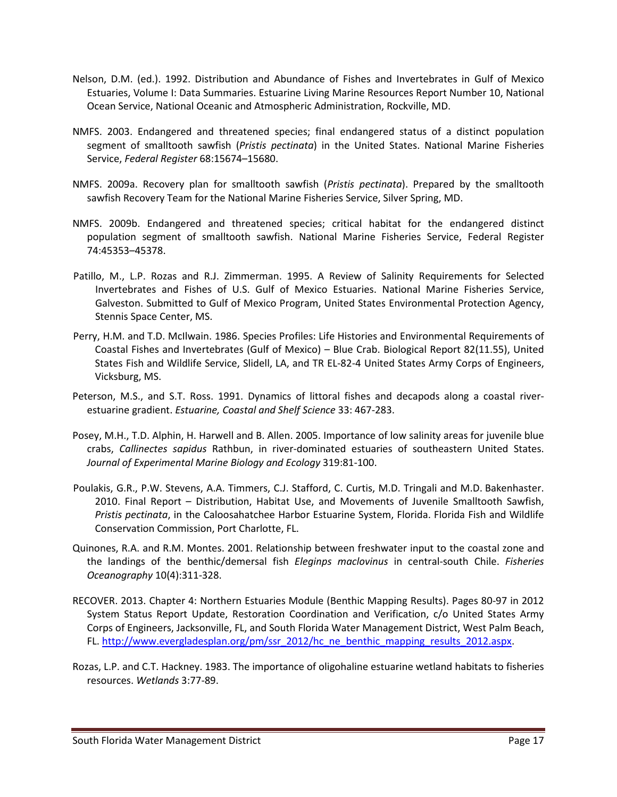- Nelson, D.M. (ed.). 1992. Distribution and Abundance of Fishes and Invertebrates in Gulf of Mexico Estuaries, Volume I: Data Summaries. Estuarine Living Marine Resources Report Number 10, National Ocean Service, National Oceanic and Atmospheric Administration, Rockville, MD.
- NMFS. 2003. Endangered and threatened species; final endangered status of a distinct population segment of smalltooth sawfish (*Pristis pectinata*) in the United States. National Marine Fisheries Service, *Federal Register* 68:15674–15680.
- NMFS. 2009a. Recovery plan for smalltooth sawfish (*Pristis pectinata*). Prepared by the smalltooth sawfish Recovery Team for the National Marine Fisheries Service, Silver Spring, MD.
- NMFS. 2009b. Endangered and threatened species; critical habitat for the endangered distinct population segment of smalltooth sawfish. National Marine Fisheries Service, Federal Register 74:45353–45378.
- Patillo, M., L.P. Rozas and R.J. Zimmerman. 1995. A Review of Salinity Requirements for Selected Invertebrates and Fishes of U.S. Gulf of Mexico Estuaries. National Marine Fisheries Service, Galveston. Submitted to Gulf of Mexico Program, United States Environmental Protection Agency, Stennis Space Center, MS.
- Perry, H.M. and T.D. McIlwain. 1986. Species Profiles: Life Histories and Environmental Requirements of Coastal Fishes and Invertebrates (Gulf of Mexico) – Blue Crab. Biological Report 82(11.55), United States Fish and Wildlife Service, Slidell, LA, and TR EL-82-4 United States Army Corps of Engineers, Vicksburg, MS.
- Peterson, M.S., and S.T. Ross. 1991. Dynamics of littoral fishes and decapods along a coastal riverestuarine gradient. *Estuarine, Coastal and Shelf Science* 33: 467-283.
- Posey, M.H., T.D. Alphin, H. Harwell and B. Allen. 2005. Importance of low salinity areas for juvenile blue crabs, *Callinectes sapidus* Rathbun, in river-dominated estuaries of southeastern United States. *Journal of Experimental Marine Biology and Ecology* 319:81-100.
- Poulakis, G.R., P.W. Stevens, A.A. Timmers, C.J. Stafford, C. Curtis, M.D. Tringali and M.D. Bakenhaster. 2010. Final Report – Distribution, Habitat Use, and Movements of Juvenile Smalltooth Sawfish, *Pristis pectinata*, in the Caloosahatchee Harbor Estuarine System, Florida. Florida Fish and Wildlife Conservation Commission, Port Charlotte, FL.
- Quinones, R.A. and R.M. Montes. 2001. Relationship between freshwater input to the coastal zone and the landings of the benthic/demersal fish *Eleginps maclovinus* in central-south Chile. *Fisheries Oceanography* 10(4):311-328.
- RECOVER. 2013. Chapter 4: Northern Estuaries Module (Benthic Mapping Results). Pages 80-97 in 2012 System Status Report Update, Restoration Coordination and Verification, c/o United States Army Corps of Engineers, Jacksonville, FL, and South Florida Water Management District, West Palm Beach, FL. [http://www.evergladesplan.org/pm/ssr\\_2012/hc\\_ne\\_benthic\\_mapping\\_results\\_2012.aspx.](http://www.evergladesplan.org/pm/ssr_2012/hc_ne_benthic_mapping_results_2012.aspx)
- Rozas, L.P. and C.T. Hackney. 1983. The importance of oligohaline estuarine wetland habitats to fisheries resources. *Wetlands* 3:77-89.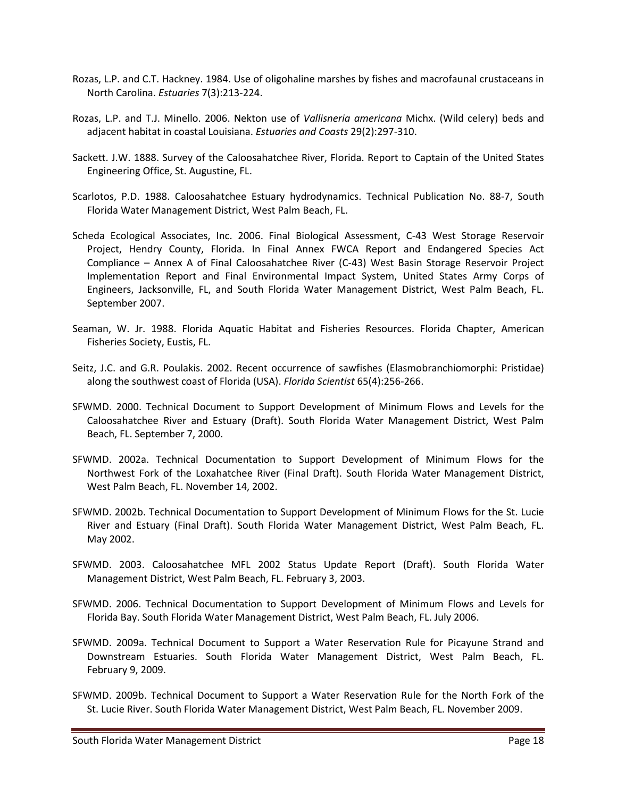- Rozas, L.P. and C.T. Hackney. 1984. Use of oligohaline marshes by fishes and macrofaunal crustaceans in North Carolina. *Estuaries* 7(3):213-224.
- Rozas, L.P. and T.J. Minello. 2006. Nekton use of *Vallisneria americana* Michx. (Wild celery) beds and adjacent habitat in coastal Louisiana. *Estuaries and Coasts* 29(2):297-310.
- Sackett. J.W. 1888. Survey of the Caloosahatchee River, Florida. Report to Captain of the United States Engineering Office, St. Augustine, FL.
- Scarlotos, P.D. 1988. Caloosahatchee Estuary hydrodynamics. Technical Publication No. 88-7, South Florida Water Management District, West Palm Beach, FL.
- Scheda Ecological Associates, Inc. 2006. Final Biological Assessment, C-43 West Storage Reservoir Project, Hendry County, Florida. In Final Annex FWCA Report and Endangered Species Act Compliance – Annex A of Final Caloosahatchee River (C-43) West Basin Storage Reservoir Project Implementation Report and Final Environmental Impact System, United States Army Corps of Engineers, Jacksonville, FL, and South Florida Water Management District, West Palm Beach, FL. September 2007.
- Seaman, W. Jr. 1988. Florida Aquatic Habitat and Fisheries Resources. Florida Chapter, American Fisheries Society, Eustis, FL.
- Seitz, J.C. and G.R. Poulakis. 2002. Recent occurrence of sawfishes (Elasmobranchiomorphi: Pristidae) along the southwest coast of Florida (USA). *Florida Scientist* 65(4):256-266.
- SFWMD. 2000. Technical Document to Support Development of Minimum Flows and Levels for the Caloosahatchee River and Estuary (Draft). South Florida Water Management District, West Palm Beach, FL. September 7, 2000.
- SFWMD. 2002a. Technical Documentation to Support Development of Minimum Flows for the Northwest Fork of the Loxahatchee River (Final Draft). South Florida Water Management District, West Palm Beach, FL. November 14, 2002.
- SFWMD. 2002b. Technical Documentation to Support Development of Minimum Flows for the St. Lucie River and Estuary (Final Draft). South Florida Water Management District, West Palm Beach, FL. May 2002.
- SFWMD. 2003. Caloosahatchee MFL 2002 Status Update Report (Draft). South Florida Water Management District, West Palm Beach, FL. February 3, 2003.
- SFWMD. 2006. Technical Documentation to Support Development of Minimum Flows and Levels for Florida Bay. South Florida Water Management District, West Palm Beach, FL. July 2006.
- SFWMD. 2009a. Technical Document to Support a Water Reservation Rule for Picayune Strand and Downstream Estuaries. South Florida Water Management District, West Palm Beach, FL. February 9, 2009.
- SFWMD. 2009b. Technical Document to Support a Water Reservation Rule for the North Fork of the St. Lucie River. South Florida Water Management District, West Palm Beach, FL. November 2009.